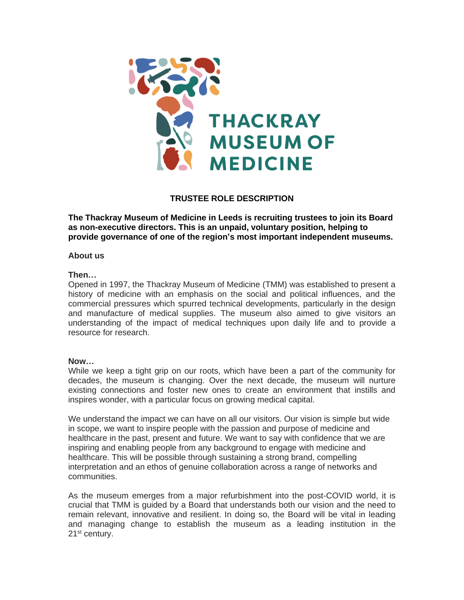

## **TRUSTEE ROLE DESCRIPTION**

**The Thackray Museum of Medicine in Leeds is recruiting trustees to join its Board as non-executive directors. This is an unpaid, voluntary position, helping to provide governance of one of the region's most important independent museums.**

#### **About us**

#### **Then…**

Opened in 1997, the Thackray Museum of Medicine (TMM) was established to present a history of medicine with an emphasis on the social and political influences, and the commercial pressures which spurred technical developments, particularly in the design and manufacture of medical supplies. The museum also aimed to give visitors an understanding of the impact of medical techniques upon daily life and to provide a resource for research.

#### **Now…**

While we keep a tight grip on our roots, which have been a part of the community for decades, the museum is changing. Over the next decade, the museum will nurture existing connections and foster new ones to create an environment that instills and inspires wonder, with a particular focus on growing medical capital.

We understand the impact we can have on all our visitors. Our vision is simple but wide in scope, we want to inspire people with the passion and purpose of medicine and healthcare in the past, present and future. We want to say with confidence that we are inspiring and enabling people from any background to engage with medicine and healthcare. This will be possible through sustaining a strong brand, compelling interpretation and an ethos of genuine collaboration across a range of networks and communities.

As the museum emerges from a major refurbishment into the post-COVID world, it is crucial that TMM is guided by a Board that understands both our vision and the need to remain relevant, innovative and resilient. In doing so, the Board will be vital in leading and managing change to establish the museum as a leading institution in the 21<sup>st</sup> century.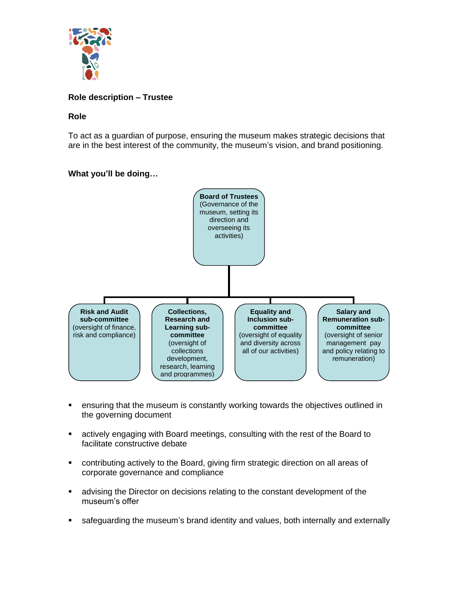

# **Role description – Trustee**

## **Role**

To act as a guardian of purpose, ensuring the museum makes strategic decisions that are in the best interest of the community, the museum's vision, and brand positioning.

## **What you'll be doing…**



- **•** ensuring that the museum is constantly working towards the objectives outlined in the governing document
- actively engaging with Board meetings, consulting with the rest of the Board to facilitate constructive debate
- contributing actively to the Board, giving firm strategic direction on all areas of corporate governance and compliance
- advising the Director on decisions relating to the constant development of the museum's offer
- safeguarding the museum's brand identity and values, both internally and externally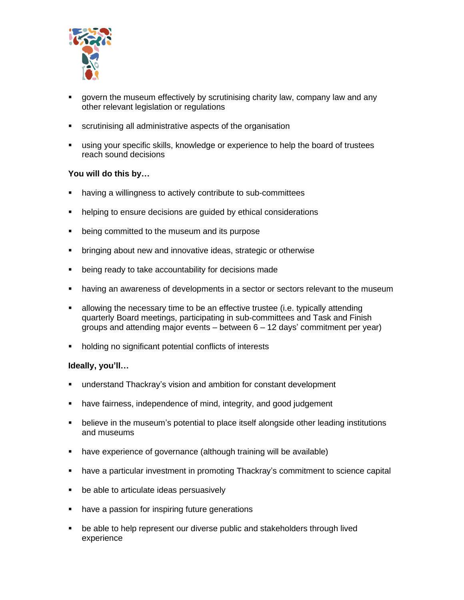

- govern the museum effectively by scrutinising charity law, company law and any other relevant legislation or regulations
- scrutinising all administrative aspects of the organisation
- using your specific skills, knowledge or experience to help the board of trustees reach sound decisions

## **You will do this by…**

- having a willingness to actively contribute to sub-committees
- helping to ensure decisions are guided by ethical considerations
- being committed to the museum and its purpose
- **EXEDEES** bringing about new and innovative ideas, strategic or otherwise
- being ready to take accountability for decisions made
- **EXED** having an awareness of developments in a sector or sectors relevant to the museum
- **EXED** allowing the necessary time to be an effective trustee (i.e. typically attending quarterly Board meetings, participating in sub-committees and Task and Finish groups and attending major events – between 6 – 12 days' commitment per year)
- holding no significant potential conflicts of interests

## **Ideally, you'll…**

- understand Thackray's vision and ambition for constant development
- have fairness, independence of mind, integrity, and good judgement
- **•** believe in the museum's potential to place itself alongside other leading institutions and museums
- have experience of governance (although training will be available)
- have a particular investment in promoting Thackray's commitment to science capital
- be able to articulate ideas persuasively
- have a passion for inspiring future generations
- be able to help represent our diverse public and stakeholders through lived experience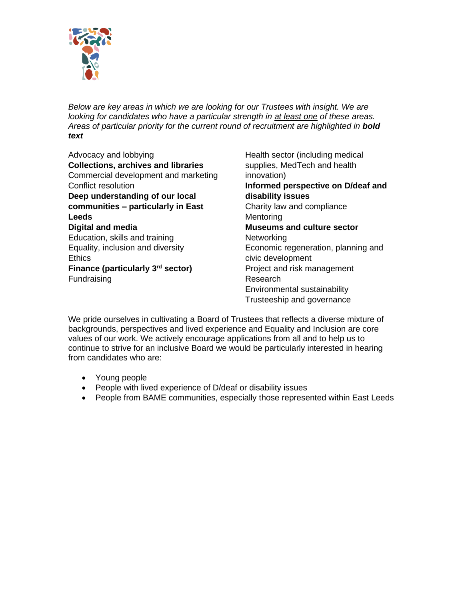

*Below are key areas in which we are looking for our Trustees with insight. We are looking for candidates who have a particular strength in at least one of these areas. Areas of particular priority for the current round of recruitment are highlighted in bold text*

Advocacy and lobbying **Collections, archives and libraries** Commercial development and marketing Conflict resolution **Deep understanding of our local communities – particularly in East Leeds Digital and media** Education, skills and training Equality, inclusion and diversity **Ethics Finance (particularly 3rd sector)** Fundraising

Health sector (including medical supplies, MedTech and health innovation) **Informed perspective on D/deaf and disability issues** Charity law and compliance Mentoring **Museums and culture sector Networking** Economic regeneration, planning and civic development Project and risk management Research Environmental sustainability Trusteeship and governance

We pride ourselves in cultivating a Board of Trustees that reflects a diverse mixture of backgrounds, perspectives and lived experience and Equality and Inclusion are core values of our work. We actively encourage applications from all and to help us to continue to strive for an inclusive Board we would be particularly interested in hearing from candidates who are:

- Young people
- People with lived experience of D/deaf or disability issues
- People from BAME communities, especially those represented within East Leeds